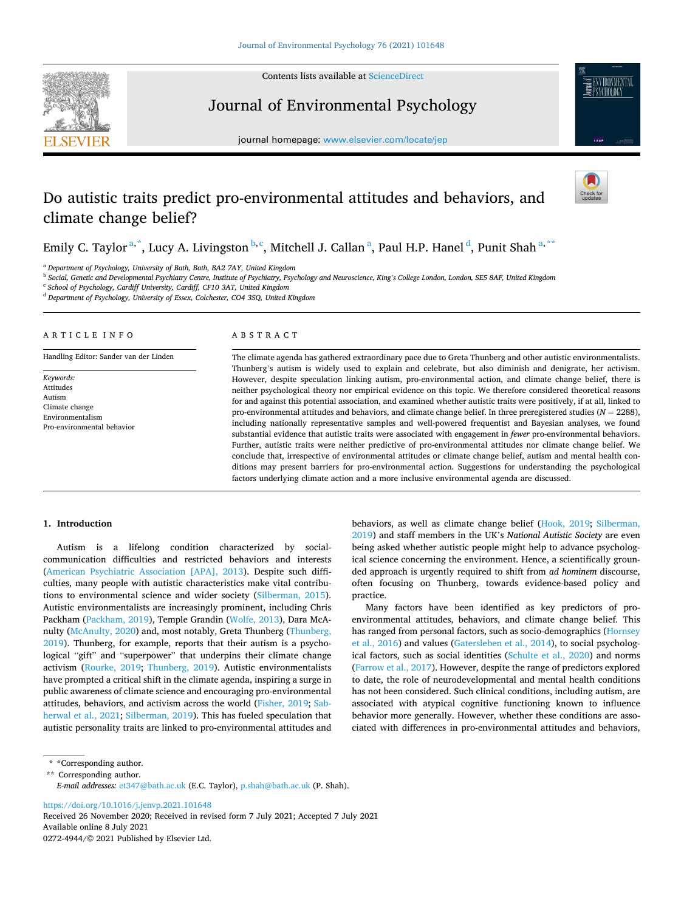Contents lists available at [ScienceDirect](www.sciencedirect.com/science/journal/02724944)

**SEVIER** 

Journal of Environmental Psychology





# Do autistic traits predict pro-environmental attitudes and behaviors, and climate change belief?



Emily C. Taylor  $^{a,\ast}$ , Lucy A. Livingston  $^{b,c}$ , Mitchell J. Callan  $^a$ , Paul H.P. Hanel  $^d$ , Punit Shah  $^{a,\ast\ast}$ 

<sup>a</sup> *Department of Psychology, University of Bath, Bath, BA2 7AY, United Kingdom* 

<sup>b</sup> *Social, Genetic and Developmental Psychiatry Centre, Institute of Psychiatry, Psychology and Neuroscience, King's College London, London, SE5 8AF, United Kingdom* 

<sup>c</sup> *School of Psychology, Cardiff University, Cardiff, CF10 3AT, United Kingdom* 

<sup>d</sup> *Department of Psychology, University of Essex, Colchester, CO4 3SQ, United Kingdom* 

# ARTICLE INFO

Handling Editor: Sander van der Linden

*Keywords:*  Attitudes Autism Climate change Environmentalism Pro-environmental behavior

### ABSTRACT

The climate agenda has gathered extraordinary pace due to Greta Thunberg and other autistic environmentalists. Thunberg's autism is widely used to explain and celebrate, but also diminish and denigrate, her activism. However, despite speculation linking autism, pro-environmental action, and climate change belief, there is neither psychological theory nor empirical evidence on this topic. We therefore considered theoretical reasons for and against this potential association, and examined whether autistic traits were positively, if at all, linked to pro-environmental attitudes and behaviors, and climate change belief. In three preregistered studies (*N* = 2288), including nationally representative samples and well-powered frequentist and Bayesian analyses, we found substantial evidence that autistic traits were associated with engagement in *fewer* pro-environmental behaviors. Further, autistic traits were neither predictive of pro-environmental attitudes nor climate change belief. We conclude that, irrespective of environmental attitudes or climate change belief, autism and mental health conditions may present barriers for pro-environmental action. Suggestions for understanding the psychological factors underlying climate action and a more inclusive environmental agenda are discussed.

# **1. Introduction**

Autism is a lifelong condition characterized by socialcommunication difficulties and restricted behaviors and interests ([American Psychiatric Association \[APA\], 2013](#page-7-0)). Despite such difficulties, many people with autistic characteristics make vital contributions to environmental science and wider society ([Silberman, 2015](#page-9-0)). Autistic environmentalists are increasingly prominent, including Chris Packham [\(Packham, 2019\)](#page-8-0), Temple Grandin [\(Wolfe, 2013](#page-9-0)), Dara McAnulty [\(McAnulty, 2020](#page-8-0)) and, most notably, Greta Thunberg [\(Thunberg,](#page-9-0)  [2019\)](#page-9-0). Thunberg, for example, reports that their autism is a psychological "gift" and "superpower" that underpins their climate change activism ([Rourke, 2019;](#page-8-0) [Thunberg, 2019](#page-9-0)). Autistic environmentalists have prompted a critical shift in the climate agenda, inspiring a surge in public awareness of climate science and encouraging pro-environmental attitudes, behaviors, and activism across the world [\(Fisher, 2019; Sab](#page-8-0)[herwal et al., 2021;](#page-8-0) [Silberman, 2019](#page-9-0)). This has fueled speculation that autistic personality traits are linked to pro-environmental attitudes and behaviors, as well as climate change belief [\(Hook, 2019;](#page-8-0) [Silberman,](#page-9-0)  [2019\)](#page-9-0) and staff members in the UK's *National Autistic Society* are even being asked whether autistic people might help to advance psychological science concerning the environment. Hence, a scientifically grounded approach is urgently required to shift from *ad hominem* discourse, often focusing on Thunberg, towards evidence-based policy and practice.

Many factors have been identified as key predictors of proenvironmental attitudes, behaviors, and climate change belief. This has ranged from personal factors, such as socio-demographics [\(Hornsey](#page-8-0)  [et al., 2016\)](#page-8-0) and values ([Gatersleben et al., 2014](#page-8-0)), to social psychological factors, such as social identities ([Schulte et al., 2020](#page-8-0)) and norms ([Farrow et al., 2017](#page-8-0)). However, despite the range of predictors explored to date, the role of neurodevelopmental and mental health conditions has not been considered. Such clinical conditions, including autism, are associated with atypical cognitive functioning known to influence behavior more generally. However, whether these conditions are associated with differences in pro-environmental attitudes and behaviors,

<https://doi.org/10.1016/j.jenvp.2021.101648>

Available online 8 July 2021 0272-4944/© 2021 Published by Elsevier Ltd. Received 26 November 2020; Received in revised form 7 July 2021; Accepted 7 July 2021

<sup>\*</sup> \*Corresponding author.

<sup>\*\*</sup> Corresponding author.

*E-mail addresses:* [et347@bath.ac.uk](mailto:et347@bath.ac.uk) (E.C. Taylor), [p.shah@bath.ac.uk](mailto:p.shah@bath.ac.uk) (P. Shah).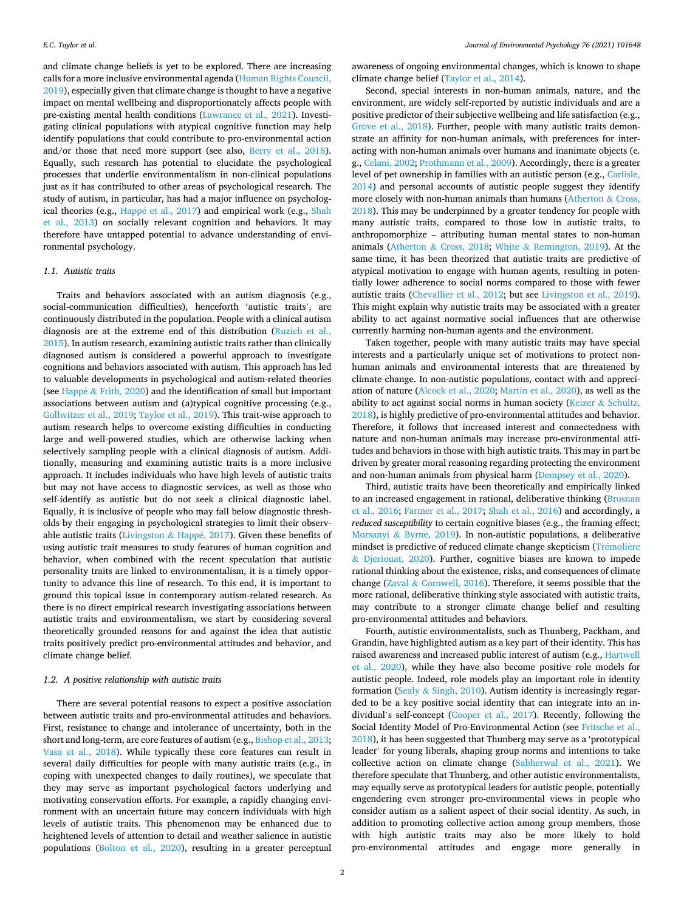and climate change beliefs is yet to be explored. There are increasing calls for a more inclusive environmental agenda [\(Human Rights Council,](#page-8-0)  [2019\)](#page-8-0), especially given that climate change is thought to have a negative impact on mental wellbeing and disproportionately affects people with pre-existing mental health conditions ([Lawrance et al., 2021](#page-8-0)). Investigating clinical populations with atypical cognitive function may help identify populations that could contribute to pro-environmental action and/or those that need more support (see also, [Berry et al., 2018](#page-7-0)). Equally, such research has potential to elucidate the psychological processes that underlie environmentalism in non-clinical populations just as it has contributed to other areas of psychological research. The study of autism, in particular, has had a major influence on psychological theories (e.g., Happé et al., 2017) and empirical work (e.g., Shah [et al., 2013](#page-9-0)) on socially relevant cognition and behaviors. It may therefore have untapped potential to advance understanding of environmental psychology.

## *1.1. Autistic traits*

Traits and behaviors associated with an autism diagnosis (e.g., social-communication difficulties), henceforth 'autistic traits', are continuously distributed in the population. People with a clinical autism diagnosis are at the extreme end of this distribution [\(Ruzich et al.,](#page-8-0)  [2015\)](#page-8-0). In autism research, examining autistic traits rather than clinically diagnosed autism is considered a powerful approach to investigate cognitions and behaviors associated with autism. This approach has led to valuable developments in psychological and autism-related theories (see Happé  $&$  [Frith, 2020\)](#page-8-0) and the identification of small but important associations between autism and (a)typical cognitive processing (e.g., [Gollwitzer et al., 2019;](#page-8-0) [Taylor et al., 2019](#page-9-0)). This trait-wise approach to autism research helps to overcome existing difficulties in conducting large and well-powered studies, which are otherwise lacking when selectively sampling people with a clinical diagnosis of autism. Additionally, measuring and examining autistic traits is a more inclusive approach. It includes individuals who have high levels of autistic traits but may not have access to diagnostic services, as well as those who self-identify as autistic but do not seek a clinical diagnostic label. Equally, it is inclusive of people who may fall below diagnostic thresholds by their engaging in psychological strategies to limit their observ-able autistic traits ([Livingston](#page-8-0) & Happé, 2017). Given these benefits of using autistic trait measures to study features of human cognition and behavior, when combined with the recent speculation that autistic personality traits are linked to environmentalism, it is a timely opportunity to advance this line of research. To this end, it is important to ground this topical issue in contemporary autism-related research. As there is no direct empirical research investigating associations between autistic traits and environmentalism, we start by considering several theoretically grounded reasons for and against the idea that autistic traits positively predict pro-environmental attitudes and behavior, and climate change belief.

# *1.2. A positive relationship with autistic traits*

There are several potential reasons to expect a positive association between autistic traits and pro-environmental attitudes and behaviors. First, resistance to change and intolerance of uncertainty, both in the short and long-term, are core features of autism (e.g., [Bishop et al., 2013](#page-8-0); [Vasa et al., 2018](#page-9-0)). While typically these core features can result in several daily difficulties for people with many autistic traits (e.g., in coping with unexpected changes to daily routines), we speculate that they may serve as important psychological factors underlying and motivating conservation efforts. For example, a rapidly changing environment with an uncertain future may concern individuals with high levels of autistic traits. This phenomenon may be enhanced due to heightened levels of attention to detail and weather salience in autistic populations [\(Bolton et al., 2020\)](#page-8-0), resulting in a greater perceptual

awareness of ongoing environmental changes, which is known to shape climate change belief [\(Taylor et al., 2014\)](#page-9-0).

Second, special interests in non-human animals, nature, and the environment, are widely self-reported by autistic individuals and are a positive predictor of their subjective wellbeing and life satisfaction (e.g., [Grove et al., 2018\)](#page-8-0). Further, people with many autistic traits demonstrate an affinity for non-human animals, with preferences for interacting with non-human animals over humans and inanimate objects (e. g., [Celani, 2002](#page-8-0); [Prothmann et al., 2009\)](#page-8-0). Accordingly, there is a greater level of pet ownership in families with an autistic person (e.g., [Carlisle,](#page-8-0)  [2014\)](#page-8-0) and personal accounts of autistic people suggest they identify more closely with non-human animals than humans ([Atherton](#page-7-0) & Cross, [2018\)](#page-7-0). This may be underpinned by a greater tendency for people with many autistic traits, compared to those low in autistic traits, to anthropomorphize – attributing human mental states to non-human animals (Atherton & [Cross, 2018](#page-7-0); White & [Remington, 2019\)](#page-9-0). At the same time, it has been theorized that autistic traits are predictive of atypical motivation to engage with human agents, resulting in potentially lower adherence to social norms compared to those with fewer autistic traits [\(Chevallier et al., 2012;](#page-8-0) but see [Livingston et al., 2019](#page-8-0)). This might explain why autistic traits may be associated with a greater ability to act against normative social influences that are otherwise currently harming non-human agents and the environment.

Taken together, people with many autistic traits may have special interests and a particularly unique set of motivations to protect nonhuman animals and environmental interests that are threatened by climate change. In non-autistic populations, contact with and appreciation of nature ([Alcock et al., 2020](#page-7-0); [Martin et al., 2020](#page-8-0)), as well as the ability to act against social norms in human society (Keizer  $\&$  Schultz, [2018\)](#page-8-0), is highly predictive of pro-environmental attitudes and behavior. Therefore, it follows that increased interest and connectedness with nature and non-human animals may increase pro-environmental attitudes and behaviors in those with high autistic traits. This may in part be driven by greater moral reasoning regarding protecting the environment and non-human animals from physical harm [\(Dempsey et al., 2020\)](#page-8-0).

Third, autistic traits have been theoretically and empirically linked to an increased engagement in rational, deliberative thinking [\(Brosnan](#page-8-0)  [et al., 2016](#page-8-0); [Farmer et al., 2017;](#page-8-0) [Shah et al., 2016](#page-9-0)) and accordingly, a *reduced susceptibility* to certain cognitive biases (e.g., the framing effect; Morsanyi & [Byrne, 2019\)](#page-8-0). In non-autistic populations, a deliberative mindset is predictive of reduced climate change skepticism (Trémolière & [Djeriouat, 2020](#page-9-0)). Further, cognitive biases are known to impede rational thinking about the existence, risks, and consequences of climate change (Zaval & [Cornwell, 2016\)](#page-9-0). Therefore, it seems possible that the more rational, deliberative thinking style associated with autistic traits, may contribute to a stronger climate change belief and resulting pro-environmental attitudes and behaviors.

Fourth, autistic environmentalists, such as Thunberg, Packham, and Grandin, have highlighted autism as a key part of their identity. This has raised awareness and increased public interest of autism (e.g., [Hartwell](#page-8-0)  [et al., 2020\)](#page-8-0), while they have also become positive role models for autistic people. Indeed, role models play an important role in identity formation (Sealy  $&$  [Singh, 2010\)](#page-9-0). Autism identity is increasingly regarded to be a key positive social identity that can integrate into an individual's self-concept [\(Cooper et al., 2017\)](#page-8-0). Recently, following the Social Identity Model of Pro-Environmental Action (see [Fritsche et al.,](#page-8-0)  [2018\)](#page-8-0), it has been suggested that Thunberg may serve as a 'prototypical leader' for young liberals, shaping group norms and intentions to take collective action on climate change [\(Sabherwal et al., 2021](#page-8-0)). We therefore speculate that Thunberg, and other autistic environmentalists, may equally serve as prototypical leaders for autistic people, potentially engendering even stronger pro-environmental views in people who consider autism as a salient aspect of their social identity. As such, in addition to promoting collective action among group members, those with high autistic traits may also be more likely to hold pro-environmental attitudes and engage more generally in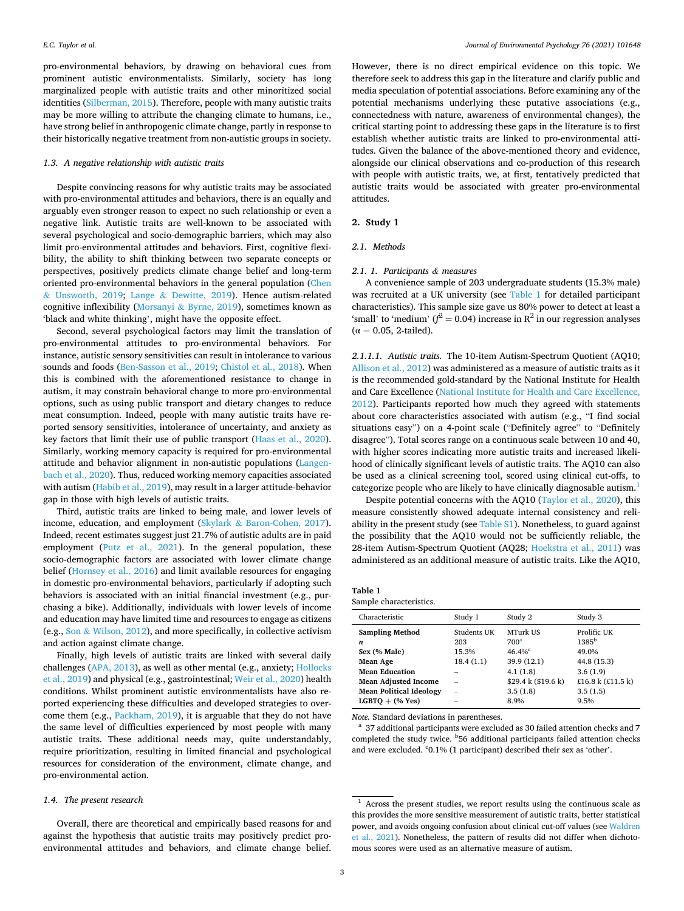<span id="page-2-0"></span>pro-environmental behaviors, by drawing on behavioral cues from prominent autistic environmentalists. Similarly, society has long marginalized people with autistic traits and other minoritized social identities [\(Silberman, 2015\)](#page-9-0). Therefore, people with many autistic traits may be more willing to attribute the changing climate to humans, i.e., have strong belief in anthropogenic climate change, partly in response to their historically negative treatment from non-autistic groups in society.

#### *1.3. A negative relationship with autistic traits*

Despite convincing reasons for why autistic traits may be associated with pro-environmental attitudes and behaviors, there is an equally and arguably even stronger reason to expect no such relationship or even a negative link. Autistic traits are well-known to be associated with several psychological and socio-demographic barriers, which may also limit pro-environmental attitudes and behaviors. First, cognitive flexibility, the ability to shift thinking between two separate concepts or perspectives, positively predicts climate change belief and long-term oriented pro-environmental behaviors in the general population ([Chen](#page-8-0)  & [Unsworth, 2019](#page-8-0); Lange & [Dewitte, 2019\)](#page-8-0). Hence autism-related cognitive inflexibility (Morsanyi & [Byrne, 2019](#page-8-0)), sometimes known as 'black and white thinking', might have the opposite effect.

Second, several psychological factors may limit the translation of pro-environmental attitudes to pro-environmental behaviors. For instance, autistic sensory sensitivities can result in intolerance to various sounds and foods ([Ben-Sasson et al., 2019](#page-7-0); [Chistol et al., 2018](#page-8-0)). When this is combined with the aforementioned resistance to change in autism, it may constrain behavioral change to more pro-environmental options, such as using public transport and dietary changes to reduce meat consumption. Indeed, people with many autistic traits have reported sensory sensitivities, intolerance of uncertainty, and anxiety as key factors that limit their use of public transport [\(Haas et al., 2020](#page-8-0)). Similarly, working memory capacity is required for pro-environmental attitude and behavior alignment in non-autistic populations ([Langen](#page-8-0)[bach et al., 2020\)](#page-8-0). Thus, reduced working memory capacities associated with autism ([Habib et al., 2019](#page-8-0)), may result in a larger attitude-behavior gap in those with high levels of autistic traits.

Third, autistic traits are linked to being male, and lower levels of income, education, and employment (Skylark & [Baron-Cohen, 2017](#page-9-0)). Indeed, recent estimates suggest just 21.7% of autistic adults are in paid employment ([Putz et al., 2021](#page-8-0)). In the general population, these socio-demographic factors are associated with lower climate change belief ([Hornsey et al., 2016\)](#page-8-0) and limit available resources for engaging in domestic pro-environmental behaviors, particularly if adopting such behaviors is associated with an initial financial investment (e.g., purchasing a bike). Additionally, individuals with lower levels of income and education may have limited time and resources to engage as citizens (e.g., Son & [Wilson, 2012\)](#page-9-0), and more specifically, in collective activism and action against climate change.

Finally, high levels of autistic traits are linked with several daily challenges ([APA, 2013](#page-7-0)), as well as other mental (e.g., anxiety; [Hollocks](#page-8-0)  [et al., 2019](#page-8-0)) and physical (e.g., gastrointestinal; [Weir et al., 2020\)](#page-9-0) health conditions. Whilst prominent autistic environmentalists have also reported experiencing these difficulties and developed strategies to overcome them (e.g., [Packham, 2019\)](#page-8-0), it is arguable that they do not have the same level of difficulties experienced by most people with many autistic traits. These additional needs may, quite understandably, require prioritization, resulting in limited financial and psychological resources for consideration of the environment, climate change, and pro-environmental action.

## *1.4. The present research*

Overall, there are theoretical and empirically based reasons for and against the hypothesis that autistic traits may positively predict proenvironmental attitudes and behaviors, and climate change belief.

However, there is no direct empirical evidence on this topic. We therefore seek to address this gap in the literature and clarify public and media speculation of potential associations. Before examining any of the potential mechanisms underlying these putative associations (e.g., connectedness with nature, awareness of environmental changes), the critical starting point to addressing these gaps in the literature is to first establish whether autistic traits are linked to pro-environmental attitudes. Given the balance of the above-mentioned theory and evidence, alongside our clinical observations and co-production of this research with people with autistic traits, we, at first, tentatively predicted that autistic traits would be associated with greater pro-environmental attitudes.

### **2. Study 1**

#### *2.1. Methods*

# *2.1. 1. Participants & measures*

A convenience sample of 203 undergraduate students (15.3% male) was recruited at a UK university (see Table 1 for detailed participant characteristics). This sample size gave us 80% power to detect at least a 'small' to 'medium'  $(f^2 = 0.04)$  increase in  $\mathbb{R}^2$  in our regression analyses  $(\alpha = 0.05, 2$ -tailed).

*2.1.1.1. Autistic traits.* The 10-item Autism-Spectrum Quotient (AQ10; [Allison et al., 2012](#page-7-0)) was administered as a measure of autistic traits as it is the recommended gold-standard by the National Institute for Health and Care Excellence ([National Institute for Health and Care Excellence,](#page-8-0)  [2012\)](#page-8-0). Participants reported how much they agreed with statements about core characteristics associated with autism (e.g., "I find social situations easy") on a 4-point scale ("Definitely agree" to "Definitely disagree"). Total scores range on a continuous scale between 10 and 40, with higher scores indicating more autistic traits and increased likelihood of clinically significant levels of autistic traits. The AQ10 can also be used as a clinical screening tool, scored using clinical cut-offs, to categorize people who are likely to have clinically diagnosable autism.<sup>1</sup>

Despite potential concerns with the AQ10 ([Taylor et al., 2020](#page-9-0)), this measure consistently showed adequate internal consistency and reliability in the present study (see Table S1). Nonetheless, to guard against the possibility that the AQ10 would not be sufficiently reliable, the 28-item Autism-Spectrum Quotient (AQ28; [Hoekstra et al., 2011](#page-8-0)) was administered as an additional measure of autistic traits. Like the AQ10,

| Table 1                 |
|-------------------------|
| Sample characteristics. |

| Characteristic                                                                                                         | Study 1                                  | Study 2                                                                                                 | Study 3                                                                                |
|------------------------------------------------------------------------------------------------------------------------|------------------------------------------|---------------------------------------------------------------------------------------------------------|----------------------------------------------------------------------------------------|
| <b>Sampling Method</b><br>n<br>Sex (% Male)<br><b>Mean Age</b><br><b>Mean Education</b><br><b>Mean Adjusted Income</b> | Students UK<br>203<br>15.3%<br>18.4(1.1) | MTurk US<br>700 <sup>a</sup><br>$46.4\%$ <sup>c</sup><br>39.9 (12.1)<br>4.1(1.8)<br>\$29.4 k (\$19.6 k) | Prolific UK<br>$1385^{\rm b}$<br>49.0%<br>44.8 (15.3)<br>3.6(1.9)<br>£16.8 k (£11.5 k) |
| <b>Mean Political Ideology</b>                                                                                         |                                          | 3.5(1.8)                                                                                                | 3.5(1.5)                                                                               |
| $LGBTO + (% Yes)$                                                                                                      |                                          | 8.9%                                                                                                    | 9.5%                                                                                   |

*Note.* Standard deviations in parentheses.<br><sup>a</sup> 37 additional participants were excluded as 30 failed attention checks and 7 completed the study twice. <sup>b</sup>56 additional participants failed attention checks and were excluded. <sup>c</sup>0.1% (1 participant) described their sex as 'other'.

<sup>&</sup>lt;sup>1</sup> Across the present studies, we report results using the continuous scale as this provides the more sensitive measurement of autistic traits, better statistical power, and avoids ongoing confusion about clinical cut-off values (see [Waldren](#page-9-0)  [et al., 2021](#page-9-0)). Nonetheless, the pattern of results did not differ when dichotomous scores were used as an alternative measure of autism.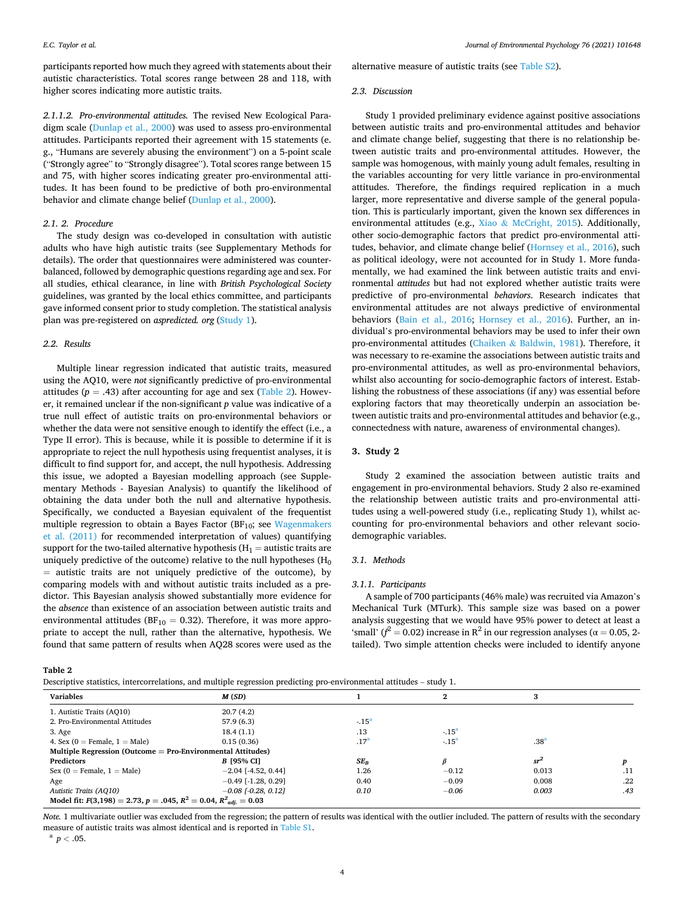*Journal of Environmental Psychology 76 (2021) 101648*

participants reported how much they agreed with statements about their autistic characteristics. Total scores range between 28 and 118, with higher scores indicating more autistic traits.

*2.1.1.2. Pro-environmental attitudes.* The revised New Ecological Paradigm scale ([Dunlap et al., 2000\)](#page-8-0) was used to assess pro-environmental attitudes. Participants reported their agreement with 15 statements (e. g., "Humans are severely abusing the environment") on a 5-point scale ("Strongly agree" to "Strongly disagree"). Total scores range between 15 and 75, with higher scores indicating greater pro-environmental attitudes. It has been found to be predictive of both pro-environmental behavior and climate change belief [\(Dunlap et al., 2000](#page-8-0)).

# *2.1. 2. Procedure*

The study design was co-developed in consultation with autistic adults who have high autistic traits (see Supplementary Methods for details). The order that questionnaires were administered was counterbalanced, followed by demographic questions regarding age and sex. For all studies, ethical clearance, in line with *British Psychological Society*  guidelines, was granted by the local ethics committee, and participants gave informed consent prior to study completion. The statistical analysis plan was pre-registered on *aspredicted. org* ([Study 1\)](https://aspredicted.org/bs452.pdf).

### *2.2. Results*

Multiple linear regression indicated that autistic traits, measured using the AQ10, were *not* significantly predictive of pro-environmental attitudes ( $p = .43$ ) after accounting for age and sex (Table 2). However, it remained unclear if the non-significant *p* value was indicative of a true null effect of autistic traits on pro-environmental behaviors or whether the data were not sensitive enough to identify the effect (i.e., a Type II error). This is because, while it is possible to determine if it is appropriate to reject the null hypothesis using frequentist analyses, it is difficult to find support for, and accept, the null hypothesis. Addressing this issue, we adopted a Bayesian modelling approach (see Supplementary Methods - Bayesian Analysis) to quantify the likelihood of obtaining the data under both the null and alternative hypothesis. Specifically, we conducted a Bayesian equivalent of the frequentist multiple regression to obtain a Bayes Factor ( $BF_{10}$ ; see Wagenmakers [et al. \(2011\)](#page-9-0) for recommended interpretation of values) quantifying support for the two-tailed alternative hypothesis ( $H_1$  = autistic traits are uniquely predictive of the outcome) relative to the null hypotheses  $(H_0)$ = autistic traits are not uniquely predictive of the outcome), by comparing models with and without autistic traits included as a predictor. This Bayesian analysis showed substantially more evidence for the *absence* than existence of an association between autistic traits and environmental attitudes ( $BF_{10} = 0.32$ ). Therefore, it was more appropriate to accept the null, rather than the alternative, hypothesis. We found that same pattern of results when AQ28 scores were used as the

**Table 2** 

Descriptive statistics, intercorrelations, and multiple regression predicting pro-environmental attitudes – study 1.

alternative measure of autistic traits (see Table S2).

# *2.3. Discussion*

Study 1 provided preliminary evidence against positive associations between autistic traits and pro-environmental attitudes and behavior and climate change belief, suggesting that there is no relationship between autistic traits and pro-environmental attitudes. However, the sample was homogenous, with mainly young adult females, resulting in the variables accounting for very little variance in pro-environmental attitudes. Therefore, the findings required replication in a much larger, more representative and diverse sample of the general population. This is particularly important, given the known sex differences in environmental attitudes (e.g., Xiao & [McCright, 2015\)](#page-9-0). Additionally, other socio-demographic factors that predict pro-environmental attitudes, behavior, and climate change belief [\(Hornsey et al., 2016](#page-8-0)), such as political ideology, were not accounted for in Study 1. More fundamentally, we had examined the link between autistic traits and environmental *attitudes* but had not explored whether autistic traits were predictive of pro-environmental *behaviors*. Research indicates that environmental attitudes are not always predictive of environmental behaviors ([Bain et al., 2016](#page-7-0); [Hornsey et al., 2016\)](#page-8-0). Further, an individual's pro-environmental behaviors may be used to infer their own pro-environmental attitudes (Chaiken & [Baldwin, 1981\)](#page-8-0). Therefore, it was necessary to re-examine the associations between autistic traits and pro-environmental attitudes, as well as pro-environmental behaviors, whilst also accounting for socio-demographic factors of interest. Establishing the robustness of these associations (if any) was essential before exploring factors that may theoretically underpin an association between autistic traits and pro-environmental attitudes and behavior (e.g., connectedness with nature, awareness of environmental changes).

# **3. Study 2**

Study 2 examined the association between autistic traits and engagement in pro-environmental behaviors. Study 2 also re-examined the relationship between autistic traits and pro-environmental attitudes using a well-powered study (i.e., replicating Study 1), whilst accounting for pro-environmental behaviors and other relevant sociodemographic variables.

### *3.1. Methods*

#### *3.1.1. Participants*

A sample of 700 participants (46% male) was recruited via Amazon's Mechanical Turk (MTurk). This sample size was based on a power analysis suggesting that we would have 95% power to detect at least a 'small' ( $f^2$  = 0.02) increase in R<sup>2</sup> in our regression analyses ( $\alpha$  = 0.05, 2tailed). Two simple attention checks were included to identify anyone

| <b>Variables</b>                                                              | M(SD)                 |                  | ∠             |                  |     |
|-------------------------------------------------------------------------------|-----------------------|------------------|---------------|------------------|-----|
| 1. Autistic Traits (AO10)                                                     | 20.7(4.2)             |                  |               |                  |     |
| 2. Pro-Environmental Attitudes                                                | 57.9(6.3)             | $-15^{\circ}$    |               |                  |     |
| 3. Age                                                                        | 18.4(1.1)             | .13              | $-15^{\circ}$ |                  |     |
| 4. Sex (0 = Female, $1 =$ Male)                                               | 0.15(0.36)            | .17 <sup>a</sup> | $-15^{\circ}$ | .38 <sup>a</sup> |     |
| Multiple Regression (Outcome $=$ Pro-Environmental Attitudes)                 |                       |                  |               |                  |     |
| <b>Predictors</b>                                                             | <b>B</b> 195% CI1     | $SE_R$           |               | $sr^2$           |     |
| Sex ( $0$ = Female, $1$ = Male)                                               | $-2.04$ [-4.52, 0.44] | 1.26             | $-0.12$       | 0.013            | .11 |
| Age                                                                           | $-0.49$ [-1.28, 0.29] | 0.40             | $-0.09$       | 0.008            | .22 |
| Autistic Traits (AQ10)                                                        | $-0.08$ [-0.28, 0.12] | 0.10             | $-0.06$       | 0.003            | .43 |
| Model fit: $F(3,198) = 2.73$ , $p = .045$ , $R^2 = 0.04$ , $R^2_{adi} = 0.03$ |                       |                  |               |                  |     |

*Note.* 1 multivariate outlier was excluded from the regression; the pattern of results was identical with the outlier included. The pattern of results with the secondary measure of autistic traits was almost identical and is reported in Table S1. a  $p < .05$ .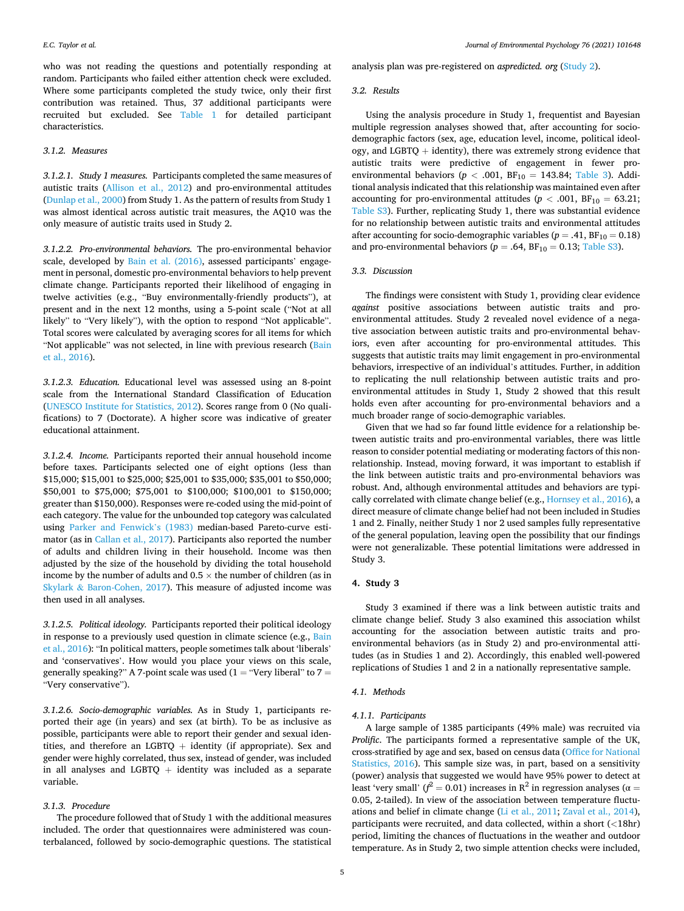*Journal of Environmental Psychology 76 (2021) 101648*

who was not reading the questions and potentially responding at random. Participants who failed either attention check were excluded. Where some participants completed the study twice, only their first contribution was retained. Thus, 37 additional participants were recruited but excluded. See [Table 1](#page-2-0) for detailed participant characteristics.

### *3.1.2. Measures*

*3.1.2.1. Study 1 measures.* Participants completed the same measures of autistic traits [\(Allison et al., 2012](#page-7-0)) and pro-environmental attitudes ([Dunlap et al., 2000\)](#page-8-0) from Study 1. As the pattern of results from Study 1 was almost identical across autistic trait measures, the AQ10 was the only measure of autistic traits used in Study 2.

*3.1.2.2. Pro-environmental behaviors.* The pro-environmental behavior scale, developed by [Bain et al. \(2016\)](#page-7-0), assessed participants' engagement in personal, domestic pro-environmental behaviors to help prevent climate change. Participants reported their likelihood of engaging in twelve activities (e.g., "Buy environmentally-friendly products"), at present and in the next 12 months, using a 5-point scale ("Not at all likely" to "Very likely"), with the option to respond "Not applicable". Total scores were calculated by averaging scores for all items for which "Not applicable" was not selected, in line with previous research ([Bain](#page-7-0)  [et al., 2016\)](#page-7-0).

*3.1.2.3. Education.* Educational level was assessed using an 8-point scale from the International Standard Classification of Education ([UNESCO Institute for Statistics, 2012](#page-9-0)). Scores range from 0 (No qualifications) to 7 (Doctorate). A higher score was indicative of greater educational attainment.

*3.1.2.4. Income.* Participants reported their annual household income before taxes. Participants selected one of eight options (less than \$15,000; \$15,001 to \$25,000; \$25,001 to \$35,000; \$35,001 to \$50,000; \$50,001 to \$75,000; \$75,001 to \$100,000; \$100,001 to \$150,000; greater than \$150,000). Responses were re-coded using the mid-point of each category. The value for the unbounded top category was calculated using [Parker and Fenwick](#page-8-0)'s (1983) median-based Pareto-curve estimator (as in [Callan et al., 2017](#page-8-0)). Participants also reported the number of adults and children living in their household. Income was then adjusted by the size of the household by dividing the total household income by the number of adults and 0.5  $\times$  the number of children (as in Skylark & [Baron-Cohen, 2017](#page-9-0)). This measure of adjusted income was then used in all analyses.

*3.1.2.5. Political ideology.* Participants reported their political ideology in response to a previously used question in climate science (e.g., [Bain](#page-7-0)  [et al., 2016\)](#page-7-0): "In political matters, people sometimes talk about 'liberals' and 'conservatives'. How would you place your views on this scale, generally speaking?" A 7-point scale was used  $(1 = "Very liberal"$  to  $7 =$ "Very conservative").

*3.1.2.6. Socio-demographic variables.* As in Study 1, participants reported their age (in years) and sex (at birth). To be as inclusive as possible, participants were able to report their gender and sexual identities, and therefore an LGBTQ  $+$  identity (if appropriate). Sex and gender were highly correlated, thus sex, instead of gender, was included in all analyses and LGBTQ  $+$  identity was included as a separate variable.

### *3.1.3. Procedure*

The procedure followed that of Study 1 with the additional measures included. The order that questionnaires were administered was counterbalanced, followed by socio-demographic questions. The statistical analysis plan was pre-registered on *aspredicted. org* [\(Study 2](https://aspredicted.org/d7a83.pdf)).

### *3.2. Results*

Using the analysis procedure in Study 1, frequentist and Bayesian multiple regression analyses showed that, after accounting for sociodemographic factors (sex, age, education level, income, political ideology, and LGBTQ  $+$  identity), there was extremely strong evidence that autistic traits were predictive of engagement in fewer proenvironmental behaviors ( $p < .001$ ,  $BF_{10} = 143.84$ ; [Table 3](#page-5-0)). Additional analysis indicated that this relationship was maintained even after accounting for pro-environmental attitudes ( $p < .001$ , BF<sub>10</sub> = 63.21; Table S3). Further, replicating Study 1, there was substantial evidence for no relationship between autistic traits and environmental attitudes after accounting for socio-demographic variables ( $p = .41$ ,  $BF_{10} = 0.18$ ) and pro-environmental behaviors ( $p = .64$ ,  $BF_{10} = 0.13$ ; Table S3).

## *3.3. Discussion*

The findings were consistent with Study 1, providing clear evidence *against* positive associations between autistic traits and proenvironmental attitudes. Study 2 revealed novel evidence of a negative association between autistic traits and pro-environmental behaviors, even after accounting for pro-environmental attitudes. This suggests that autistic traits may limit engagement in pro-environmental behaviors, irrespective of an individual's attitudes. Further, in addition to replicating the null relationship between autistic traits and proenvironmental attitudes in Study 1, Study 2 showed that this result holds even after accounting for pro-environmental behaviors and a much broader range of socio-demographic variables.

Given that we had so far found little evidence for a relationship between autistic traits and pro-environmental variables, there was little reason to consider potential mediating or moderating factors of this nonrelationship. Instead, moving forward, it was important to establish if the link between autistic traits and pro-environmental behaviors was robust. And, although environmental attitudes and behaviors are typically correlated with climate change belief (e.g., [Hornsey et al., 2016\)](#page-8-0), a direct measure of climate change belief had not been included in Studies 1 and 2. Finally, neither Study 1 nor 2 used samples fully representative of the general population, leaving open the possibility that our findings were not generalizable. These potential limitations were addressed in Study 3.

# **4. Study 3**

Study 3 examined if there was a link between autistic traits and climate change belief. Study 3 also examined this association whilst accounting for the association between autistic traits and proenvironmental behaviors (as in Study 2) and pro-environmental attitudes (as in Studies 1 and 2). Accordingly, this enabled well-powered replications of Studies 1 and 2 in a nationally representative sample.

### *4.1. Methods*

### *4.1.1. Participants*

A large sample of 1385 participants (49% male) was recruited via *Prolific*. The participants formed a representative sample of the UK, cross-stratified by age and sex, based on census data ([Office for National](#page-8-0)  [Statistics, 2016](#page-8-0)). This sample size was, in part, based on a sensitivity (power) analysis that suggested we would have 95% power to detect at least 'very small' ( $f^2 = 0.01$ ) increases in R<sup>2</sup> in regression analyses ( $\alpha =$ 0.05, 2-tailed). In view of the association between temperature fluctuations and belief in climate change [\(Li et al., 2011;](#page-8-0) [Zaval et al., 2014](#page-9-0)), participants were recruited, and data collected, within a short (*<*18hr) period, limiting the chances of fluctuations in the weather and outdoor temperature. As in Study 2, two simple attention checks were included,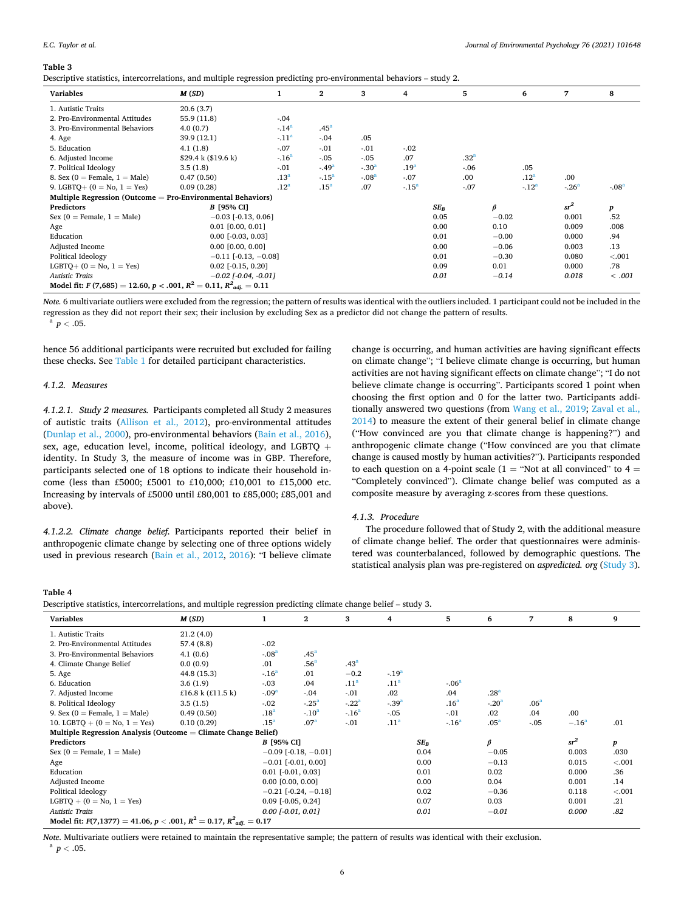*Journal of Environmental Psychology 76 (2021) 101648*

<span id="page-5-0"></span>

| Descriptive statistics, intercorrelations, and multiple regression predicting pro-environmental behaviors – study 2. |          |  |  |  |  |  |  |  |
|----------------------------------------------------------------------------------------------------------------------|----------|--|--|--|--|--|--|--|
| Variablec                                                                                                            | $M$ (CD) |  |  |  |  |  |  |  |

| <b>Variables</b>                                                       | M(SD)                               |                  | $\mathbf{2}$         | 3       | 4                | 5                |         | 6                | 7       | 8       |
|------------------------------------------------------------------------|-------------------------------------|------------------|----------------------|---------|------------------|------------------|---------|------------------|---------|---------|
| 1. Autistic Traits                                                     | 20.6(3.7)                           |                  |                      |         |                  |                  |         |                  |         |         |
| 2. Pro-Environmental Attitudes                                         | 55.9 (11.8)                         | $-.04$           |                      |         |                  |                  |         |                  |         |         |
| 3. Pro-Environmental Behaviors                                         | 4.0(0.7)                            | $-14^{a}$        | .45 <sup>a</sup>     |         |                  |                  |         |                  |         |         |
| 4. Age                                                                 | 39.9 (12.1)                         | $-11a$           | $-.04$               | .05     |                  |                  |         |                  |         |         |
| 5. Education                                                           | 4.1(1.8)                            | $-.07$           | $-.01$               | $-.01$  | $-.02$           |                  |         |                  |         |         |
| 6. Adjusted Income                                                     | $$29.4 \text{ k} ($19.6 \text{ k})$ | $-16a$           | $-.05$               | $-.05$  | .07              | .32 <sup>a</sup> |         |                  |         |         |
| 7. Political Ideology                                                  | 3.5(1.8)                            | $-.01$           | $-0.49$ <sup>a</sup> | $-.30a$ | .19 <sup>3</sup> | $-.06$           |         | .05              |         |         |
| 8. Sex (0 = Female, $1 =$ Male)                                        | 0.47(0.50)                          | .13 <sup>a</sup> | $-.15a$              | $-.08a$ | $-.07$           | .00              |         | .12 <sup>a</sup> | .00     |         |
| 9. LGBTQ+ $(0 = No, 1 = Yes)$                                          | 0.09(0.28)                          | .12 <sup>a</sup> | .15 <sup>a</sup>     | .07     | $-.15a$          | $-.07$           |         | $-.12a$          | $-.26a$ | $-.08a$ |
| Multiple Regression (Outcome = Pro-Environmental Behaviors)            |                                     |                  |                      |         |                  |                  |         |                  |         |         |
| <b>Predictors</b>                                                      | B [95% CI]                          |                  |                      |         |                  | $SE_B$           | $\beta$ |                  | $sr^2$  | p       |
| Sex ( $0$ = Female, $1$ = Male)                                        | $-0.03$ [-0.13, 0.06]               |                  |                      |         |                  | 0.05             | $-0.02$ |                  | 0.001   | .52     |
| Age                                                                    | $0.01$ [0.00, 0.01]                 |                  |                      |         |                  | 0.00             | 0.10    |                  | 0.009   | .008    |
| Education                                                              | $0.00$ [ $-0.03$ , $0.03$ ]         |                  |                      |         |                  | 0.01             | $-0.00$ |                  | 0.000   | .94     |
| Adjusted Income                                                        | $0.00$ [0.00, 0.00]                 |                  |                      |         |                  | 0.00             | $-0.06$ |                  | 0.003   | .13     |
| Political Ideology                                                     | $-0.11$ [ $-0.13$ , $-0.08$ ]       |                  |                      |         |                  | 0.01             | $-0.30$ |                  | 0.080   | < 0.001 |
| $LGBTO+ (0 = No, 1 = Yes)$                                             | $0.02$ [ $-0.15$ , $0.20$ ]         |                  |                      |         |                  | 0.09             | 0.01    |                  | 0.000   | .78     |
| <b>Autistic Traits</b>                                                 | $-0.02$ [ $-0.04$ , $-0.01$ ]       |                  |                      |         |                  | 0.01             | $-0.14$ |                  | 0.018   | < .001  |
| Model fit: $F(7,685) = 12.60, p < .001, R^2 = 0.11, R^2_{adi.} = 0.11$ |                                     |                  |                      |         |                  |                  |         |                  |         |         |

*Note.* 6 multivariate outliers were excluded from the regression; the pattern of results was identical with the outliers included. 1 participant could not be included in the regression as they did not report their sex; their inclusion by excluding Sex as a predictor did not change the pattern of results. a *<sup>p</sup><sup>&</sup>lt;* .05.

hence 56 additional participants were recruited but excluded for failing these checks. See [Table 1](#page-2-0) for detailed participant characteristics.

### *4.1.2. Measures*

*4.1.2.1. Study 2 measures.* Participants completed all Study 2 measures of autistic traits ([Allison et al., 2012](#page-7-0)), pro-environmental attitudes ([Dunlap et al., 2000\)](#page-8-0), pro-environmental behaviors ([Bain et al., 2016](#page-7-0)), sex, age, education level, income, political ideology, and LGBTQ + identity. In Study 3, the measure of income was in GBP. Therefore, participants selected one of 18 options to indicate their household income (less than £5000; £5001 to £10,000; £10,001 to £15,000 etc. Increasing by intervals of £5000 until £80,001 to £85,000; £85,001 and above).

*4.1.2.2. Climate change belief.* Participants reported their belief in anthropogenic climate change by selecting one of three options widely used in previous research ([Bain et al., 2012,](#page-7-0) [2016\)](#page-7-0): "I believe climate

change is occurring, and human activities are having significant effects on climate change"; "I believe climate change is occurring, but human activities are not having significant effects on climate change"; "I do not believe climate change is occurring". Participants scored 1 point when choosing the first option and 0 for the latter two. Participants additionally answered two questions (from [Wang et al., 2019; Zaval et al.,](#page-9-0)  [2014\)](#page-9-0) to measure the extent of their general belief in climate change ("How convinced are you that climate change is happening?") and anthropogenic climate change ("How convinced are you that climate change is caused mostly by human activities?"). Participants responded to each question on a 4-point scale ( $1 =$  "Not at all convinced" to  $4 =$ "Completely convinced"). Climate change belief was computed as a composite measure by averaging z-scores from these questions.

### *4.1.3. Procedure*

The procedure followed that of Study 2, with the additional measure of climate change belief. The order that questionnaires were administered was counterbalanced, followed by demographic questions. The statistical analysis plan was pre-registered on *aspredicted. org* ([Study 3](https://aspredicted.org/446u3.pdf)).

## **Table 4**

| Descriptive statistics, intercorrelations, and multiple regression predicting climate change belief – study 3, |  |  |  |  |
|----------------------------------------------------------------------------------------------------------------|--|--|--|--|
|                                                                                                                |  |  |  |  |
|                                                                                                                |  |  |  |  |
|                                                                                                                |  |  |  |  |

| <b>Variables</b>                                                                 | M(SD)               |                   | $\mathbf{2}$                  | 3                | 4                | 5                | 6                | 7                | 8       | 9      |
|----------------------------------------------------------------------------------|---------------------|-------------------|-------------------------------|------------------|------------------|------------------|------------------|------------------|---------|--------|
| 1. Autistic Traits                                                               | 21.2(4.0)           |                   |                               |                  |                  |                  |                  |                  |         |        |
| 2. Pro-Environmental Attitudes                                                   | 57.4(8.8)           | $-.02$            |                               |                  |                  |                  |                  |                  |         |        |
| 3. Pro-Environmental Behaviors                                                   | 4.1(0.6)            | $-.08a$           | .45 <sup>a</sup>              |                  |                  |                  |                  |                  |         |        |
| 4. Climate Change Belief                                                         | 0.0(0.9)            | .01               | .56 <sup>a</sup>              | .43 <sup>a</sup> |                  |                  |                  |                  |         |        |
| 5. Age                                                                           | 44.8 (15.3)         | $-16a$            | .01                           | $-0.2$           | $-19a$           |                  |                  |                  |         |        |
| 6. Education                                                                     | 3.6(1.9)            | $-.03$            | .04                           | .11 <sup>a</sup> | .11 <sup>a</sup> | $-.06a$          |                  |                  |         |        |
| 7. Adjusted Income                                                               | £16.8 k $(E11.5 k)$ | $-.09a$           | $-.04$                        | $-.01$           | .02              | .04              | .28 <sup>a</sup> |                  |         |        |
| 8. Political Ideology                                                            | 3.5(1.5)            | $-.02$            | $-.25a$                       | $-.22a$          | $-39a$           | .16 <sup>a</sup> | $-.20a$          | .06 <sup>a</sup> |         |        |
| 9. Sex (0 = Female, $1 =$ Male)                                                  | 0.49(0.50)          | .18 <sup>a</sup>  | $-.10a$                       | $-.16a$          | $-.05$           | $-.01$           | .02              | .04              | .00     |        |
| 10. LGBTQ + $(0 = No, 1 = Yes)$                                                  | 0.10(0.29)          | .15 <sup>a</sup>  | .07 <sup>a</sup>              | $-01$            | .11 <sup>a</sup> | $-.16a$          | .05 <sup>a</sup> | $-.05$           | $-.16a$ | .01    |
| Multiple Regression Analysis (Outcome $=$ Climate Change Belief)                 |                     |                   |                               |                  |                  |                  |                  |                  |         |        |
| <b>Predictors</b>                                                                |                     | <b>B</b> [95% CI] |                               |                  |                  | $SE_B$           | $\beta$          |                  | $sr^2$  | p      |
| Sex ( $0$ = Female, $1$ = Male)                                                  |                     |                   | $-0.09$ [-0.18, $-0.01$ ]     |                  |                  | 0.04             | $-0.05$          |                  | 0.003   | .030   |
| Age                                                                              |                     |                   | $-0.01$ [ $-0.01$ , 0.00]     |                  |                  | 0.00             | $-0.13$          |                  | 0.015   | < .001 |
| Education                                                                        |                     |                   | $0.01$ [ $-0.01$ , $0.03$ ]   |                  |                  | 0.01             | 0.02             |                  | 0.000   | .36    |
| Adjusted Income                                                                  |                     |                   | $0.00$ [0.00, 0.00]           |                  |                  | 0.00             | 0.04             |                  | 0.001   | .14    |
| Political Ideology                                                               |                     |                   | $-0.21$ [ $-0.24$ , $-0.18$ ] |                  |                  | 0.02             | $-0.36$          |                  | 0.118   | < .001 |
| $LGBTQ + (0 = No, 1 = Yes)$                                                      |                     |                   | $0.09$ [ $-0.05$ , $0.24$ ]   |                  |                  | 0.07             | 0.03             |                  | 0.001   | .21    |
| <b>Autistic Traits</b>                                                           |                     |                   | $0.00$ [-0.01, 0.01]          |                  |                  | 0.01             | $-0.01$          |                  | 0.000   | .82    |
| Model fit: $F(7,1377) = 41.06$ , $p < .001$ , $R^2 = 0.17$ , $R^2_{adi.} = 0.17$ |                     |                   |                               |                  |                  |                  |                  |                  |         |        |

*Note*. Multivariate outliers were retained to maintain the representative sample; the pattern of results was identical with their exclusion. a *<sup>p</sup><sup>&</sup>lt;* .05.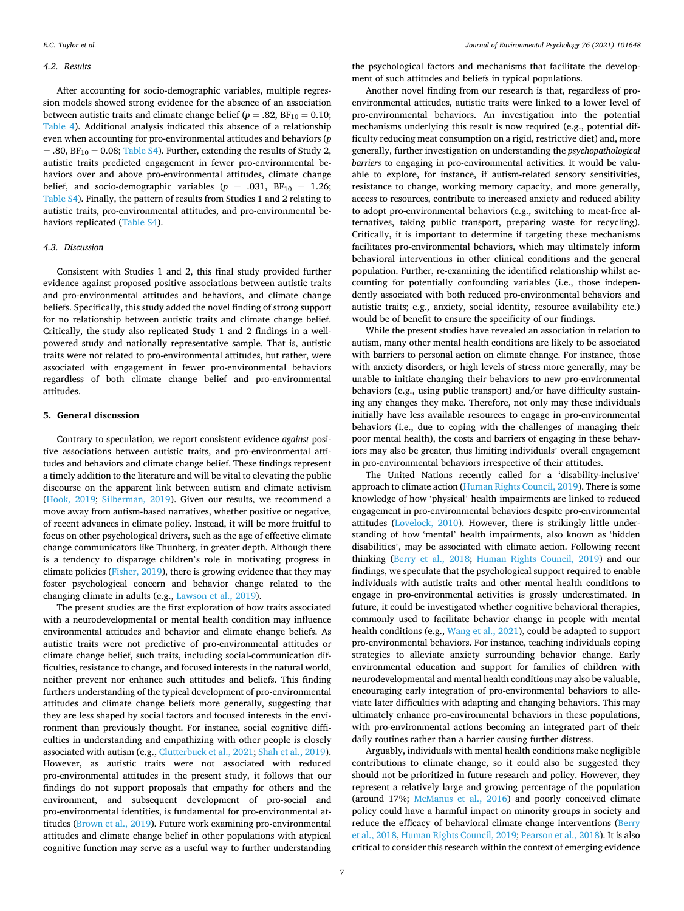### *4.2. Results*

After accounting for socio-demographic variables, multiple regression models showed strong evidence for the absence of an association between autistic traits and climate change belief  $(p=.82, BF_{10} = 0.10;$ [Table 4\)](#page-5-0). Additional analysis indicated this absence of a relationship even when accounting for pro-environmental attitudes and behaviors (*p*   $= .80, BF_{10} = 0.08;$  Table S4). Further, extending the results of Study 2, autistic traits predicted engagement in fewer pro-environmental behaviors over and above pro-environmental attitudes, climate change belief, and socio-demographic variables ( $p = .031$ ,  $BF_{10} = 1.26$ ; Table S4). Finally, the pattern of results from Studies 1 and 2 relating to autistic traits, pro-environmental attitudes, and pro-environmental behaviors replicated (Table S4).

#### *4.3. Discussion*

Consistent with Studies 1 and 2, this final study provided further evidence against proposed positive associations between autistic traits and pro-environmental attitudes and behaviors, and climate change beliefs. Specifically, this study added the novel finding of strong support for no relationship between autistic traits and climate change belief. Critically, the study also replicated Study 1 and 2 findings in a wellpowered study and nationally representative sample. That is, autistic traits were not related to pro-environmental attitudes, but rather, were associated with engagement in fewer pro-environmental behaviors regardless of both climate change belief and pro-environmental attitudes.

### **5. General discussion**

Contrary to speculation, we report consistent evidence *against* positive associations between autistic traits, and pro-environmental attitudes and behaviors and climate change belief. These findings represent a timely addition to the literature and will be vital to elevating the public discourse on the apparent link between autism and climate activism ([Hook, 2019](#page-8-0); [Silberman, 2019](#page-9-0)). Given our results, we recommend a move away from autism-based narratives, whether positive or negative, of recent advances in climate policy. Instead, it will be more fruitful to focus on other psychological drivers, such as the age of effective climate change communicators like Thunberg, in greater depth. Although there is a tendency to disparage children's role in motivating progress in climate policies [\(Fisher, 2019](#page-8-0)), there is growing evidence that they may foster psychological concern and behavior change related to the changing climate in adults (e.g., [Lawson et al., 2019\)](#page-8-0).

The present studies are the first exploration of how traits associated with a neurodevelopmental or mental health condition may influence environmental attitudes and behavior and climate change beliefs. As autistic traits were not predictive of pro-environmental attitudes or climate change belief, such traits, including social-communication difficulties, resistance to change, and focused interests in the natural world, neither prevent nor enhance such attitudes and beliefs. This finding furthers understanding of the typical development of pro-environmental attitudes and climate change beliefs more generally, suggesting that they are less shaped by social factors and focused interests in the environment than previously thought. For instance, social cognitive difficulties in understanding and empathizing with other people is closely associated with autism (e.g., [Clutterbuck et al., 2021;](#page-8-0) [Shah et al., 2019](#page-9-0)). However, as autistic traits were not associated with reduced pro-environmental attitudes in the present study, it follows that our findings do not support proposals that empathy for others and the environment, and subsequent development of pro-social and pro-environmental identities, is fundamental for pro-environmental attitudes ([Brown et al., 2019](#page-8-0)). Future work examining pro-environmental attitudes and climate change belief in other populations with atypical cognitive function may serve as a useful way to further understanding

the psychological factors and mechanisms that facilitate the development of such attitudes and beliefs in typical populations.

Another novel finding from our research is that, regardless of proenvironmental attitudes, autistic traits were linked to a lower level of pro-environmental behaviors. An investigation into the potential mechanisms underlying this result is now required (e.g., potential difficulty reducing meat consumption on a rigid, restrictive diet) and, more generally, further investigation on understanding the *psychopathological barriers* to engaging in pro-environmental activities. It would be valuable to explore, for instance, if autism-related sensory sensitivities, resistance to change, working memory capacity, and more generally, access to resources, contribute to increased anxiety and reduced ability to adopt pro-environmental behaviors (e.g., switching to meat-free alternatives, taking public transport, preparing waste for recycling). Critically, it is important to determine if targeting these mechanisms facilitates pro-environmental behaviors, which may ultimately inform behavioral interventions in other clinical conditions and the general population. Further, re-examining the identified relationship whilst accounting for potentially confounding variables (i.e., those independently associated with both reduced pro-environmental behaviors and autistic traits; e.g., anxiety, social identity, resource availability etc.) would be of benefit to ensure the specificity of our findings.

While the present studies have revealed an association in relation to autism, many other mental health conditions are likely to be associated with barriers to personal action on climate change. For instance, those with anxiety disorders, or high levels of stress more generally, may be unable to initiate changing their behaviors to new pro-environmental behaviors (e.g., using public transport) and/or have difficulty sustaining any changes they make. Therefore, not only may these individuals initially have less available resources to engage in pro-environmental behaviors (i.e., due to coping with the challenges of managing their poor mental health), the costs and barriers of engaging in these behaviors may also be greater, thus limiting individuals' overall engagement in pro-environmental behaviors irrespective of their attitudes.

The United Nations recently called for a 'disability-inclusive' approach to climate action ([Human Rights Council, 2019\)](#page-8-0). There is some knowledge of how 'physical' health impairments are linked to reduced engagement in pro-environmental behaviors despite pro-environmental attitudes [\(Lovelock, 2010](#page-8-0)). However, there is strikingly little understanding of how 'mental' health impairments, also known as 'hidden disabilities', may be associated with climate action. Following recent thinking [\(Berry et al., 2018](#page-7-0); [Human Rights Council, 2019\)](#page-8-0) and our findings, we speculate that the psychological support required to enable individuals with autistic traits and other mental health conditions to engage in pro-environmental activities is grossly underestimated. In future, it could be investigated whether cognitive behavioral therapies, commonly used to facilitate behavior change in people with mental health conditions (e.g., [Wang et al., 2021\)](#page-9-0), could be adapted to support pro-environmental behaviors. For instance, teaching individuals coping strategies to alleviate anxiety surrounding behavior change. Early environmental education and support for families of children with neurodevelopmental and mental health conditions may also be valuable, encouraging early integration of pro-environmental behaviors to alleviate later difficulties with adapting and changing behaviors. This may ultimately enhance pro-environmental behaviors in these populations, with pro-environmental actions becoming an integrated part of their daily routines rather than a barrier causing further distress.

Arguably, individuals with mental health conditions make negligible contributions to climate change, so it could also be suggested they should not be prioritized in future research and policy. However, they represent a relatively large and growing percentage of the population (around 17%; [McManus et al., 2016\)](#page-8-0) and poorly conceived climate policy could have a harmful impact on minority groups in society and reduce the efficacy of behavioral climate change interventions [\(Berry](#page-7-0)  [et al., 2018,](#page-7-0) [Human Rights Council, 2019; Pearson et al., 2018](#page-8-0)). It is also critical to consider this research within the context of emerging evidence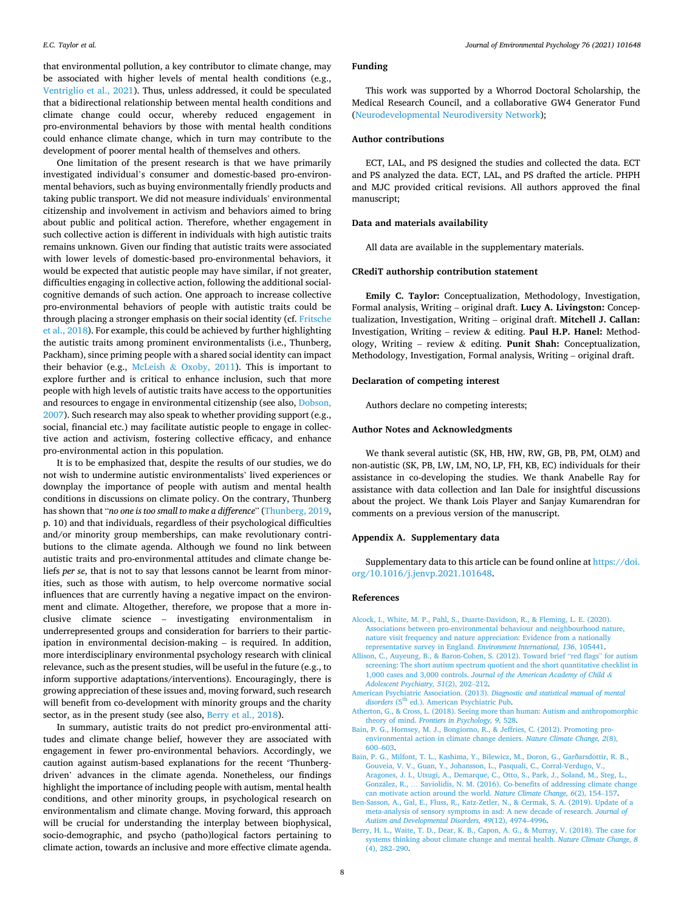<span id="page-7-0"></span>that environmental pollution, a key contributor to climate change, may be associated with higher levels of mental health conditions (e.g., [Ventriglio et al., 2021](#page-9-0)). Thus, unless addressed, it could be speculated that a bidirectional relationship between mental health conditions and climate change could occur, whereby reduced engagement in pro-environmental behaviors by those with mental health conditions could enhance climate change, which in turn may contribute to the development of poorer mental health of themselves and others.

One limitation of the present research is that we have primarily investigated individual's consumer and domestic-based pro-environmental behaviors, such as buying environmentally friendly products and taking public transport. We did not measure individuals' environmental citizenship and involvement in activism and behaviors aimed to bring about public and political action. Therefore, whether engagement in such collective action is different in individuals with high autistic traits remains unknown. Given our finding that autistic traits were associated with lower levels of domestic-based pro-environmental behaviors, it would be expected that autistic people may have similar, if not greater, difficulties engaging in collective action, following the additional socialcognitive demands of such action. One approach to increase collective pro-environmental behaviors of people with autistic traits could be through placing a stronger emphasis on their social identity (cf. [Fritsche](#page-8-0)  [et al., 2018](#page-8-0)). For example, this could be achieved by further highlighting the autistic traits among prominent environmentalists (i.e., Thunberg, Packham), since priming people with a shared social identity can impact their behavior (e.g., McLeish & [Oxoby, 2011](#page-8-0)). This is important to explore further and is critical to enhance inclusion, such that more people with high levels of autistic traits have access to the opportunities and resources to engage in environmental citizenship (see also, [Dobson,](#page-8-0)  [2007\)](#page-8-0). Such research may also speak to whether providing support (e.g., social, financial etc.) may facilitate autistic people to engage in collective action and activism, fostering collective efficacy, and enhance pro-environmental action in this population.

It is to be emphasized that, despite the results of our studies, we do not wish to undermine autistic environmentalists' lived experiences or downplay the importance of people with autism and mental health conditions in discussions on climate policy. On the contrary, Thunberg has shown that "*no one is too small to make a difference*" ([Thunberg, 2019](#page-9-0), p. 10) and that individuals, regardless of their psychological difficulties and/or minority group memberships, can make revolutionary contributions to the climate agenda. Although we found no link between autistic traits and pro-environmental attitudes and climate change beliefs *per se*, that is not to say that lessons cannot be learnt from minorities, such as those with autism, to help overcome normative social influences that are currently having a negative impact on the environment and climate. Altogether, therefore, we propose that a more inclusive climate science – investigating environmentalism in underrepresented groups and consideration for barriers to their participation in environmental decision-making – is required. In addition, more interdisciplinary environmental psychology research with clinical relevance, such as the present studies, will be useful in the future (e.g., to inform supportive adaptations/interventions). Encouragingly, there is growing appreciation of these issues and, moving forward, such research will benefit from co-development with minority groups and the charity sector, as in the present study (see also, Berry et al., 2018).

In summary, autistic traits do not predict pro-environmental attitudes and climate change belief, however they are associated with engagement in fewer pro-environmental behaviors. Accordingly, we caution against autism-based explanations for the recent 'Thunbergdriven' advances in the climate agenda. Nonetheless, our findings highlight the importance of including people with autism, mental health conditions, and other minority groups, in psychological research on environmentalism and climate change. Moving forward, this approach will be crucial for understanding the interplay between biophysical, socio-demographic, and psycho (patho)logical factors pertaining to climate action, towards an inclusive and more effective climate agenda.

### **Funding**

This work was supported by a Whorrod Doctoral Scholarship, the Medical Research Council, and a collaborative GW4 Generator Fund ([Neurodevelopmental Neurodiversity Network\)](https://www.neurodnetwork.com/);

### **Author contributions**

ECT, LAL, and PS designed the studies and collected the data. ECT and PS analyzed the data. ECT, LAL, and PS drafted the article. PHPH and MJC provided critical revisions. All authors approved the final manuscript;

### **Data and materials availability**

All data are available in the supplementary materials.

### **CRediT authorship contribution statement**

**Emily C. Taylor:** Conceptualization, Methodology, Investigation, Formal analysis, Writing – original draft. **Lucy A. Livingston:** Conceptualization, Investigation, Writing – original draft. **Mitchell J. Callan:**  Investigation, Writing – review & editing. **Paul H.P. Hanel:** Methodology, Writing – review & editing. **Punit Shah:** Conceptualization, Methodology, Investigation, Formal analysis, Writing – original draft.

### **Declaration of competing interest**

Authors declare no competing interests;

### **Author Notes and Acknowledgments**

We thank several autistic (SK, HB, HW, RW, GB, PB, PM, OLM) and non-autistic (SK, PB, LW, LM, NO, LP, FH, KB, EC) individuals for their assistance in co-developing the studies. We thank Anabelle Ray for assistance with data collection and Ian Dale for insightful discussions about the project. We thank Lois Player and Sanjay Kumarendran for comments on a previous version of the manuscript.

### **Appendix A. Supplementary data**

Supplementary data to this article can be found online at [https://doi.](https://doi.org/10.1016/j.jenvp.2021.101648)  [org/10.1016/j.jenvp.2021.101648.](https://doi.org/10.1016/j.jenvp.2021.101648)

# **References**

- [Alcock, I., White, M. P., Pahl, S., Duarte-Davidson, R., & Fleming, L. E. \(2020\).](http://refhub.elsevier.com/S0272-4944(21)00101-8/sref1)  [Associations between pro-environmental behaviour and neighbourhood nature,](http://refhub.elsevier.com/S0272-4944(21)00101-8/sref1) [nature visit frequency and nature appreciation: Evidence from a nationally](http://refhub.elsevier.com/S0272-4944(21)00101-8/sref1) [representative survey in England.](http://refhub.elsevier.com/S0272-4944(21)00101-8/sref1) *Environment International, 136*, 105441.
- [Allison, C., Auyeung, B., & Baron-Cohen, S. \(2012\). Toward brief](http://refhub.elsevier.com/S0272-4944(21)00101-8/sref2) "red flags" for autism [screening: The short autism spectrum quotient and the short quantitative checklist in](http://refhub.elsevier.com/S0272-4944(21)00101-8/sref2)  1,000 cases and 3,000 controls. *[Journal of the American Academy of Child](http://refhub.elsevier.com/S0272-4944(21)00101-8/sref2) & [Adolescent Psychiatry, 51](http://refhub.elsevier.com/S0272-4944(21)00101-8/sref2)*(2), 202–212.
- [American Psychiatric Association. \(2013\).](http://refhub.elsevier.com/S0272-4944(21)00101-8/sref3) *Diagnostic and statistical manual of mental*  disorders (5<sup>th</sup> ed.). American Psychiatric Pub.
- [Atherton, G., & Cross, L. \(2018\). Seeing more than human: Autism and anthropomorphic](http://refhub.elsevier.com/S0272-4944(21)00101-8/sref4)  theory of mind. *[Frontiers in Psychology, 9](http://refhub.elsevier.com/S0272-4944(21)00101-8/sref4)*, 528.
- [Bain, P. G., Hornsey, M. J., Bongiorno, R., & Jeffries, C. \(2012\). Promoting pro](http://refhub.elsevier.com/S0272-4944(21)00101-8/sref5)[environmental action in climate change deniers.](http://refhub.elsevier.com/S0272-4944(21)00101-8/sref5) *Nature Climate Change, 2*(8), 600–[603](http://refhub.elsevier.com/S0272-4944(21)00101-8/sref5).
- Bain, P. G., Milfont, T. L., Kashima, Y., Bilewicz, M., Doron, G., Garðarsdóttir, R. B., [Gouveia, V. V., Guan, Y., Johansson, L., Pasquali, C., Corral-Verdugo, V.,](http://refhub.elsevier.com/S0272-4944(21)00101-8/sref6) [Aragones, J. I., Utsugi, A., Demarque, C., Otto, S., Park, J., Soland, M., Steg, L.,](http://refhub.elsevier.com/S0272-4944(21)00101-8/sref6) González, R., ... [Saviolidis, N. M. \(2016\). Co-benefits of addressing climate change](http://refhub.elsevier.com/S0272-4944(21)00101-8/sref6) [can motivate action around the world.](http://refhub.elsevier.com/S0272-4944(21)00101-8/sref6) *Nature Climate Change, 6*(2), 154–157.
- [Ben-Sasson, A., Gal, E., Fluss, R., Katz-Zetler, N., & Cermak, S. A. \(2019\). Update of a](http://refhub.elsevier.com/S0272-4944(21)00101-8/sref7)  [meta-analysis of sensory symptoms in asd: A new decade of research.](http://refhub.elsevier.com/S0272-4944(21)00101-8/sref7) *Journal of [Autism and Developmental Disorders, 49](http://refhub.elsevier.com/S0272-4944(21)00101-8/sref7)*(12), 4974–4996.
- [Berry, H. L., Waite, T. D., Dear, K. B., Capon, A. G., & Murray, V. \(2018\). The case for](http://refhub.elsevier.com/S0272-4944(21)00101-8/sref8)  [systems thinking about climate change and mental health.](http://refhub.elsevier.com/S0272-4944(21)00101-8/sref8) *Nature Climate Change, 8*  [\(4\), 282](http://refhub.elsevier.com/S0272-4944(21)00101-8/sref8)–290.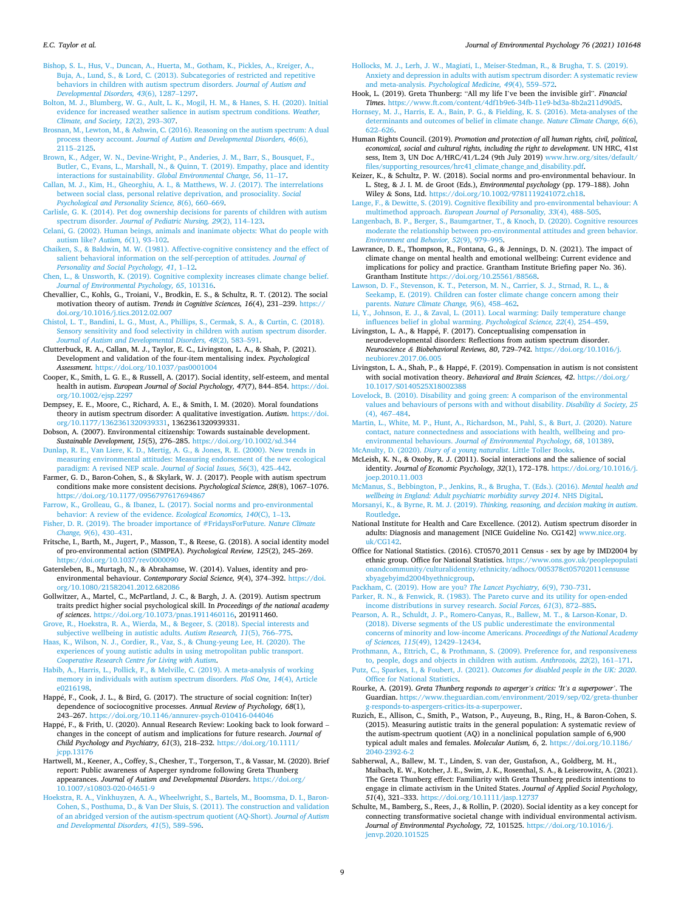#### <span id="page-8-0"></span>*E.C. Taylor et al.*

[Bishop, S. L., Hus, V., Duncan, A., Huerta, M., Gotham, K., Pickles, A., Kreiger, A.,](http://refhub.elsevier.com/S0272-4944(21)00101-8/sref9) [Buja, A., Lund, S., & Lord, C. \(2013\). Subcategories of restricted and repetitive](http://refhub.elsevier.com/S0272-4944(21)00101-8/sref9)  [behaviors in children with autism spectrum disorders.](http://refhub.elsevier.com/S0272-4944(21)00101-8/sref9) *Journal of Autism and [Developmental Disorders, 43](http://refhub.elsevier.com/S0272-4944(21)00101-8/sref9)*(6), 1287–1297.

[Bolton, M. J., Blumberg, W. G., Ault, L. K., Mogil, H. M., & Hanes, S. H. \(2020\). Initial](http://refhub.elsevier.com/S0272-4944(21)00101-8/sref10) [evidence for increased weather salience in autism spectrum conditions.](http://refhub.elsevier.com/S0272-4944(21)00101-8/sref10) *Weather, [Climate, and Society, 12](http://refhub.elsevier.com/S0272-4944(21)00101-8/sref10)*(2), 293–307.

- [Brosnan, M., Lewton, M., & Ashwin, C. \(2016\). Reasoning on the autism spectrum: A dual](http://refhub.elsevier.com/S0272-4944(21)00101-8/sref11)  process theory account. *[Journal of Autism and Developmental Disorders, 46](http://refhub.elsevier.com/S0272-4944(21)00101-8/sref11)*(6), [2115](http://refhub.elsevier.com/S0272-4944(21)00101-8/sref11)–2125.
- [Brown, K., Adger, W. N., Devine-Wright, P., Anderies, J. M., Barr, S., Bousquet, F.,](http://refhub.elsevier.com/S0272-4944(21)00101-8/sref12)  [Butler, C., Evans, L., Marshall, N., & Quinn, T. \(2019\). Empathy, place and identity](http://refhub.elsevier.com/S0272-4944(21)00101-8/sref12)  interactions for sustainability. *[Global Environmental Change, 56](http://refhub.elsevier.com/S0272-4944(21)00101-8/sref12)*, 11–17.
- [Callan, M. J., Kim, H., Gheorghiu, A. I., & Matthews, W. J. \(2017\). The interrelations](http://refhub.elsevier.com/S0272-4944(21)00101-8/sref13)  [between social class, personal relative deprivation, and prosociality.](http://refhub.elsevier.com/S0272-4944(21)00101-8/sref13) *Social [Psychological and Personality Science, 8](http://refhub.elsevier.com/S0272-4944(21)00101-8/sref13)*(6), 660–669.
- [Carlisle, G. K. \(2014\). Pet dog ownership decisions for parents of children with autism](http://refhub.elsevier.com/S0272-4944(21)00101-8/sref14)  spectrum disorder. *[Journal of Pediatric Nursing, 29](http://refhub.elsevier.com/S0272-4944(21)00101-8/sref14)*(2), 114–123.
- [Celani, G. \(2002\). Human beings, animals and inanimate objects: What do people with](http://refhub.elsevier.com/S0272-4944(21)00101-8/sref15) [autism like?](http://refhub.elsevier.com/S0272-4944(21)00101-8/sref15) *Autism, 6*(1), 93–102.
- [Chaiken, S., & Baldwin, M. W. \(1981\). Affective-cognitive consistency and the effect of](http://refhub.elsevier.com/S0272-4944(21)00101-8/sref16) [salient behavioral information on the self-perception of attitudes.](http://refhub.elsevier.com/S0272-4944(21)00101-8/sref16) *Journal of [Personality and Social Psychology, 41](http://refhub.elsevier.com/S0272-4944(21)00101-8/sref16)*, 1–12.
- [Chen, L., & Unsworth, K. \(2019\). Cognitive complexity increases climate change belief.](http://refhub.elsevier.com/S0272-4944(21)00101-8/sref17)  *[Journal of Environmental Psychology, 65](http://refhub.elsevier.com/S0272-4944(21)00101-8/sref17)*, 101316.
- Chevallier, C., Kohls, G., Troiani, V., Brodkin, E. S., & Schultz, R. T. (2012). The social motivation theory of autism. *Trends in Cognitive Sciences, 16*(4), 231–239. [https://](https://doi.org/10.1016/j.tics.2012.02.007) [doi.org/10.1016/j.tics.2012.02.007](https://doi.org/10.1016/j.tics.2012.02.007)
- [Chistol, L. T., Bandini, L. G., Must, A., Phillips, S., Cermak, S. A., & Curtin, C. \(2018\).](http://refhub.elsevier.com/S0272-4944(21)00101-8/sref19)  [Sensory sensitivity and food selectivity in children with autism spectrum disorder.](http://refhub.elsevier.com/S0272-4944(21)00101-8/sref19)  *[Journal of Autism and Developmental Disorders, 48](http://refhub.elsevier.com/S0272-4944(21)00101-8/sref19)*(2), 583–591.
- Clutterbuck, R. A., Callan, M. J., Taylor, E. C., Livingston, L. A., & Shah, P. (2021). Development and validation of the four-item mentalising index. *Psychological Assessment*. <https://doi.org/10.1037/pas0001004>
- Cooper, K., Smith, L. G. E., & Russell, A. (2017). Social identity, self-esteem, and mental health in autism. *European Journal of Social Psychology, 47*(7), 844–854. [https://doi.](https://doi.org/10.1002/ejsp.2297)  [org/10.1002/ejsp.2297](https://doi.org/10.1002/ejsp.2297)
- Dempsey, E. E., Moore, C., Richard, A. E., & Smith, I. M. (2020). Moral foundations theory in autism spectrum disorder: A qualitative investigation. *Autism*. [https://doi.](https://doi.org/10.1177/1362361320939331)  [org/10.1177/1362361320939331,](https://doi.org/10.1177/1362361320939331) 1362361320939331.
- Dobson, A. (2007). Environmental citizenship: Towards sustainable development. *Sustainable Development, 15*(5), 276–285. <https://doi.org/10.1002/sd.344>
- [Dunlap, R. E., Van Liere, K. D., Mertig, A. G., & Jones, R. E. \(2000\). New trends in](http://refhub.elsevier.com/S0272-4944(21)00101-8/sref24)  [measuring environmental attitudes: Measuring endorsement of the new ecological](http://refhub.elsevier.com/S0272-4944(21)00101-8/sref24)  [paradigm: A revised NEP scale.](http://refhub.elsevier.com/S0272-4944(21)00101-8/sref24) *Journal of Social Issues, 56*(3), 425–442.
- Farmer, G. D., Baron-Cohen, S., & Skylark, W. J. (2017). People with autism spectrum conditions make more consistent decisions. *Psychological Science, 28*(8), 1067–1076. <https://doi.org/10.1177/0956797617694867>
- [Farrow, K., Grolleau, G., & Ibanez, L. \(2017\). Social norms and pro-environmental](http://refhub.elsevier.com/S0272-4944(21)00101-8/sref26)  [behavior: A review of the evidence.](http://refhub.elsevier.com/S0272-4944(21)00101-8/sref26) *Ecological Economics, 140*(C), 1–13.
- [Fisher, D. R. \(2019\). The broader importance of #FridaysForFuture.](http://refhub.elsevier.com/S0272-4944(21)00101-8/sref27) *Nature Climate [Change, 9](http://refhub.elsevier.com/S0272-4944(21)00101-8/sref27)*(6), 430–431.
- Fritsche, I., Barth, M., Jugert, P., Masson, T., & Reese, G. (2018). A social identity model of pro-environmental action (SIMPEA). *Psychological Review, 125*(2), 245–269. <https://doi.org/10.1037/rev0000090>
- Gatersleben, B., Murtagh, N., & Abrahamse, W. (2014). Values, identity and proenvironmental behaviour. *Contemporary Social Science, 9*(4), 374–392. [https://doi.](https://doi.org/10.1080/21582041.2012.682086) [org/10.1080/21582041.2012.682086](https://doi.org/10.1080/21582041.2012.682086)
- Gollwitzer, A., Martel, C., McPartland, J. C., & Bargh, J. A. (2019). Autism spectrum traits predict higher social psychological skill. In *Proceedings of the national academy of sciences*. <https://doi.org/10.1073/pnas.1911460116>, 201911460.
- [Grove, R., Hoekstra, R. A., Wierda, M., & Begeer, S. \(2018\). Special interests and](http://refhub.elsevier.com/S0272-4944(21)00101-8/sref31) [subjective wellbeing in autistic adults.](http://refhub.elsevier.com/S0272-4944(21)00101-8/sref31) *Autism Research, 11*(5), 766–775.
- [Haas, K., Wilson, N. J., Cordier, R., Vaz, S., & Chung-yeung Lee, H. \(2020\). The](http://refhub.elsevier.com/S0272-4944(21)00101-8/sref32)  [experiences of young autistic adults in using metropolitan public transport.](http://refhub.elsevier.com/S0272-4944(21)00101-8/sref32) *[Cooperative Research Centre for Living with Autism](http://refhub.elsevier.com/S0272-4944(21)00101-8/sref32)*.

[Habib, A., Harris, L., Pollick, F., & Melville, C. \(2019\). A meta-analysis of working](http://refhub.elsevier.com/S0272-4944(21)00101-8/sref33) [memory in individuals with autism spectrum disorders.](http://refhub.elsevier.com/S0272-4944(21)00101-8/sref33) *PloS One, 14*(4), Article [e0216198.](http://refhub.elsevier.com/S0272-4944(21)00101-8/sref33)

Happé, F., Cook, J. L., & Bird, G. (2017). The structure of social cognition: In(ter) dependence of sociocognitive processes. *Annual Review of Psychology, 68*(1), 243–267. <https://doi.org/10.1146/annurev-psych-010416-044046>

- Happé, F., & Frith, U. (2020). Annual Research Review: Looking back to look forward changes in the concept of autism and implications for future research. *Journal of Child Psychology and Psychiatry, 61*(3), 218–232. [https://doi.org/10.1111/](https://doi.org/10.1111/jcpp.13176)  [jcpp.13176](https://doi.org/10.1111/jcpp.13176)
- Hartwell, M., Keener, A., Coffey, S., Chesher, T., Torgerson, T., & Vassar, M. (2020). Brief report: Public awareness of Asperger syndrome following Greta Thunberg appearances. *Journal of Autism and Developmental Disorders*. [https://doi.org/](https://doi.org/10.1007/s10803-020-04651-9)  [10.1007/s10803-020-04651-9](https://doi.org/10.1007/s10803-020-04651-9)
- [Hoekstra, R. A., Vinkhuyzen, A. A., Wheelwright, S., Bartels, M., Boomsma, D. I., Baron-](http://refhub.elsevier.com/S0272-4944(21)00101-8/sref37)[Cohen, S., Posthuma, D., & Van Der Sluis, S. \(2011\). The construction and validation](http://refhub.elsevier.com/S0272-4944(21)00101-8/sref37)  [of an abridged version of the autism-spectrum quotient \(AQ-Short\).](http://refhub.elsevier.com/S0272-4944(21)00101-8/sref37) *Journal of Autism [and Developmental Disorders, 41](http://refhub.elsevier.com/S0272-4944(21)00101-8/sref37)*(5), 589–596.

[Hollocks, M. J., Lerh, J. W., Magiati, I., Meiser-Stedman, R., & Brugha, T. S. \(2019\).](http://refhub.elsevier.com/S0272-4944(21)00101-8/sref38) [Anxiety and depression in adults with autism spectrum disorder: A systematic review](http://refhub.elsevier.com/S0272-4944(21)00101-8/sref38)  and meta-analysis. *[Psychological Medicine, 49](http://refhub.elsevier.com/S0272-4944(21)00101-8/sref38)*(4), 559–572.

Hook, L. (2019). Greta Thunberg: "All my life I've been the invisible girl". *Financial Times*. <https://www.ft.com/content/4df1b9e6-34fb-11e9-bd3a-8b2a211d90d5>.

- [Hornsey, M. J., Harris, E. A., Bain, P. G., & Fielding, K. S. \(2016\). Meta-analyses of the](http://refhub.elsevier.com/S0272-4944(21)00101-8/sref40)  [determinants and outcomes of belief in climate change.](http://refhub.elsevier.com/S0272-4944(21)00101-8/sref40) *Nature Climate Change, 6*(6), 622–[626](http://refhub.elsevier.com/S0272-4944(21)00101-8/sref40).
- Human Rights Council. (2019). *Promotion and protection of all human rights, civil, political, economical, social and cultural rights, including the right to development*. UN HRC, 41st sess, Item 3, UN Doc A/HRC/41/L.24 (9th July 2019) [www.hrw.org/sites/default/](http://www.hrw.org/sites/default/files/supporting_resources/hrc41_climate_change_and_disability.pdf) [files/supporting\\_resources/hrc41\\_climate\\_change\\_and\\_disability.pdf](http://www.hrw.org/sites/default/files/supporting_resources/hrc41_climate_change_and_disability.pdf).
- Keizer, K., & Schultz, P. W. (2018). Social norms and pro-environmental behaviour. In L. Steg, & J. I. M. de Groot (Eds.), *Environmental psychology* (pp. 179–188). John Wiley & Sons, Ltd. [https://doi.org/10.1002/9781119241072.ch18.](https://doi.org/10.1002/9781119241072.ch18)

[Lange, F., & Dewitte, S. \(2019\). Cognitive flexibility and pro-environmental behaviour: A](http://refhub.elsevier.com/S0272-4944(21)00101-8/sref43)  multimethod approach. *[European Journal of Personality, 33](http://refhub.elsevier.com/S0272-4944(21)00101-8/sref43)*(4), 488–505.

- [Langenbach, B. P., Berger, S., Baumgartner, T., & Knoch, D. \(2020\). Cognitive resources](http://refhub.elsevier.com/S0272-4944(21)00101-8/sref44)  [moderate the relationship between pro-environmental attitudes and green behavior.](http://refhub.elsevier.com/S0272-4944(21)00101-8/sref44)  *[Environment and Behavior, 52](http://refhub.elsevier.com/S0272-4944(21)00101-8/sref44)*(9), 979–995.
- Lawrance, D. E., Thompson, R., Fontana, G., & Jennings, D. N. (2021). The impact of climate change on mental health and emotional wellbeing: Current evidence and implications for policy and practice. Grantham Institute Briefing paper No. 36). Grantham Institute [https://doi.org/10.25561/88568.](https://doi.org/10.25561/88568)

[Lawson, D. F., Stevenson, K. T., Peterson, M. N., Carrier, S. J., Strnad, R. L., &](http://refhub.elsevier.com/S0272-4944(21)00101-8/sref46)  [Seekamp, E. \(2019\). Children can foster climate change concern among their](http://refhub.elsevier.com/S0272-4944(21)00101-8/sref46)  parents. *[Nature Climate Change, 9](http://refhub.elsevier.com/S0272-4944(21)00101-8/sref46)*(6), 458–462.

- [Li, Y., Johnson, E. J., & Zaval, L. \(2011\). Local warming: Daily temperature change](http://refhub.elsevier.com/S0272-4944(21)00101-8/sref47) [influences belief in global warming.](http://refhub.elsevier.com/S0272-4944(21)00101-8/sref47) *Psychological Science, 22*(4), 254–459.
- Livingston, L. A., & Happé, F. (2017). Conceptualising compensation in neurodevelopmental disorders: Reflections from autism spectrum disorder. *Neuroscience & Biobehavioral Reviews, 80*, 729–742. [https://doi.org/10.1016/j.](https://doi.org/10.1016/j.neubiorev.2017.06.005) [neubiorev.2017.06.005](https://doi.org/10.1016/j.neubiorev.2017.06.005)
- Livingston, L. A., Shah, P., & Happé, F. (2019). Compensation in autism is not consistent with social motivation theory. *Behavioral and Brain Sciences, 42.* [https://doi.org/](https://doi.org/10.1017/S0140525X18002388) [10.1017/S0140525X18002388](https://doi.org/10.1017/S0140525X18002388)
- [Lovelock, B. \(2010\). Disability and going green: A comparison of the environmental](http://refhub.elsevier.com/S0272-4944(21)00101-8/sref50)  [values and behaviours of persons with and without disability.](http://refhub.elsevier.com/S0272-4944(21)00101-8/sref50) *Disability & Society, 25*  [\(4\), 467](http://refhub.elsevier.com/S0272-4944(21)00101-8/sref50)–484.
- [Martin, L., White, M. P., Hunt, A., Richardson, M., Pahl, S., & Burt, J. \(2020\). Nature](http://refhub.elsevier.com/S0272-4944(21)00101-8/sref51) [contact, nature connectedness and associations with health, wellbeing and pro](http://refhub.elsevier.com/S0272-4944(21)00101-8/sref51)environmental behaviours. *[Journal of Environmental Psychology, 68](http://refhub.elsevier.com/S0272-4944(21)00101-8/sref51)*, 101389. McAnulty, D. (2020). *[Diary of a young naturalist](http://refhub.elsevier.com/S0272-4944(21)00101-8/sref52)*. Little Toller Books.
- McLeish, K. N., & Oxoby, R. J. (2011). Social interactions and the salience of social identity. *Journal of Economic Psychology, 32*(1), 172–178. [https://doi.org/10.1016/j.](https://doi.org/10.1016/j.joep.2010.11.003)  [joep.2010.11.003](https://doi.org/10.1016/j.joep.2010.11.003)

[McManus, S., Bebbington, P., Jenkins, R., & Brugha, T. \(Eds.\). \(2016\).](http://refhub.elsevier.com/S0272-4944(21)00101-8/sref54) *Mental health and [wellbeing in England: Adult psychiatric morbidity survey 2014](http://refhub.elsevier.com/S0272-4944(21)00101-8/sref54)*. NHS Digital.

- Morsanyi, K., & Byrne, R. M. J. (2019). *[Thinking, reasoning, and decision making in autism](http://refhub.elsevier.com/S0272-4944(21)00101-8/sref55)*. [Routledge](http://refhub.elsevier.com/S0272-4944(21)00101-8/sref55).
- National Institute for Health and Care Excellence. (2012). Autism spectrum disorder in adults: Diagnosis and management [NICE Guideline No. CG142] [www.nice.org.](http://www.nice.org.uk/CG142)  [uk/CG142.](http://www.nice.org.uk/CG142)
- Office for National Statistics. (2016). CT0570\_2011 Census sex by age by IMD2004 by ethnic group. Office for National Statistics. [https://www.ons.gov.uk/peoplepopulati](https://www.ons.gov.uk/peoplepopulationandcommunity/culturalidentity/ethnicity/adhocs/005378ct05702011censussexbyagebyimd2004byethnicgroup)  [onandcommunity/culturalidentity/ethnicity/adhocs/005378ct05702011censusse](https://www.ons.gov.uk/peoplepopulationandcommunity/culturalidentity/ethnicity/adhocs/005378ct05702011censussexbyagebyimd2004byethnicgroup) [xbyagebyimd2004byethnicgroup.](https://www.ons.gov.uk/peoplepopulationandcommunity/culturalidentity/ethnicity/adhocs/005378ct05702011censussexbyagebyimd2004byethnicgroup)

[Packham, C. \(2019\). How are you?](http://refhub.elsevier.com/S0272-4944(21)00101-8/sref58) *The Lancet Psychiatry, 6*(9), 730–731.

[Parker, R. N., & Fenwick, R. \(1983\). The Pareto curve and its utility for open-ended](http://refhub.elsevier.com/S0272-4944(21)00101-8/sref59)  [income distributions in survey research.](http://refhub.elsevier.com/S0272-4944(21)00101-8/sref59) *Social Forces, 61*(3), 872–885.

- [Pearson, A. R., Schuldt, J. P., Romero-Canyas, R., Ballew, M. T., & Larson-Konar, D.](http://refhub.elsevier.com/S0272-4944(21)00101-8/sref60) [\(2018\). Diverse segments of the US public underestimate the environmental](http://refhub.elsevier.com/S0272-4944(21)00101-8/sref60)  [concerns of minority and low-income Americans.](http://refhub.elsevier.com/S0272-4944(21)00101-8/sref60) *Proceedings of the National Academy [of Sciences, 115](http://refhub.elsevier.com/S0272-4944(21)00101-8/sref60)*(49), 12429–12434.
- [Prothmann, A., Ettrich, C., & Prothmann, S. \(2009\). Preference for, and responsiveness](http://refhub.elsevier.com/S0272-4944(21)00101-8/sref61)  [to, people, dogs and objects in children with autism.](http://refhub.elsevier.com/S0272-4944(21)00101-8/sref61) Anthrozoös, 22(2), 161-171.

Putz, C., Sparkes, I., & Foubert, J. (2021). *[Outcomes for disabled people in the UK: 2020](http://refhub.elsevier.com/S0272-4944(21)00101-8/sref62)*. [Office for National Statistics.](http://refhub.elsevier.com/S0272-4944(21)00101-8/sref62)

Rourke, A. (2019). *Greta Thunberg responds to asperger's critics: 'It's a superpower'*. The Guardian. [https://www.theguardian.com/environment/2019/sep/02/greta-thunber](https://www.theguardian.com/environment/2019/sep/02/greta-thunberg-responds-to-aspergers-critics-its-a-superpower)  [g-responds-to-aspergers-critics-its-a-superpower](https://www.theguardian.com/environment/2019/sep/02/greta-thunberg-responds-to-aspergers-critics-its-a-superpower).

- Ruzich, E., Allison, C., Smith, P., Watson, P., Auyeung, B., Ring, H., & Baron-Cohen, S. (2015). Measuring autistic traits in the general population: A systematic review of the autism-spectrum quotient (AQ) in a nonclinical population sample of 6,900 typical adult males and females. *Molecular Autism, 6*, 2. [https://doi.org/10.1186/](https://doi.org/10.1186/2040-2392-6-2)  [2040-2392-6-2](https://doi.org/10.1186/2040-2392-6-2)
- Sabherwal, A., Ballew, M. T., Linden, S. van der, Gustafson, A., Goldberg, M. H., Maibach, E. W., Kotcher, J. E., Swim, J. K., Rosenthal, S. A., & Leiserowitz, A. (2021). The Greta Thunberg effect: Familiarity with Greta Thunberg predicts intentions to engage in climate activism in the United States. *Journal of Applied Social Psychology, 51*(4), 321–333. <https://doi.org/10.1111/jasp.12737>
- Schulte, M., Bamberg, S., Rees, J., & Rollin, P. (2020). Social identity as a key concept for connecting transformative societal change with individual environmental activism. *Journal of Environmental Psychology, 72*, 101525. [https://doi.org/10.1016/j.](https://doi.org/10.1016/j.jenvp.2020.101525) [jenvp.2020.101525](https://doi.org/10.1016/j.jenvp.2020.101525)